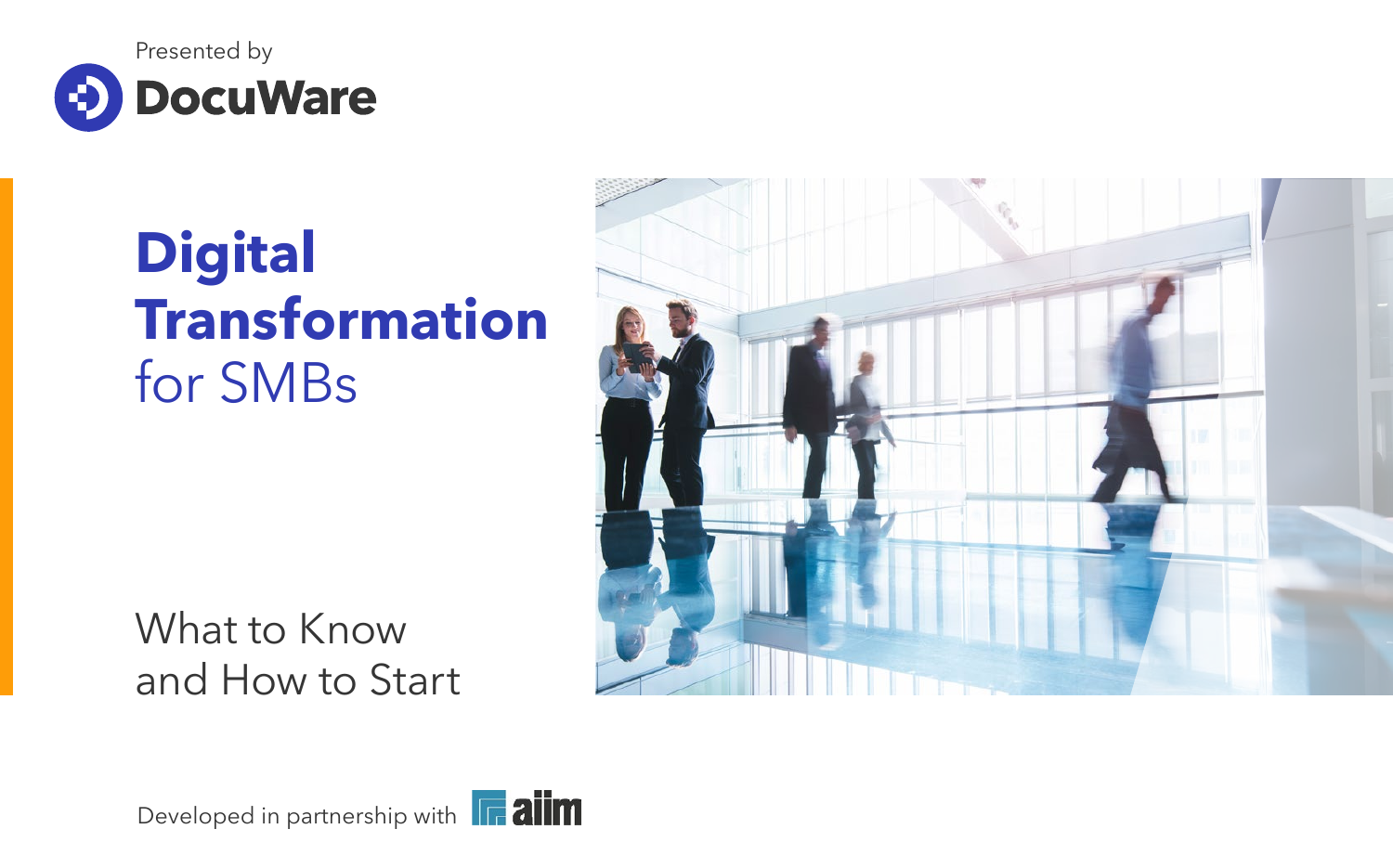



# What to Know and How to Start

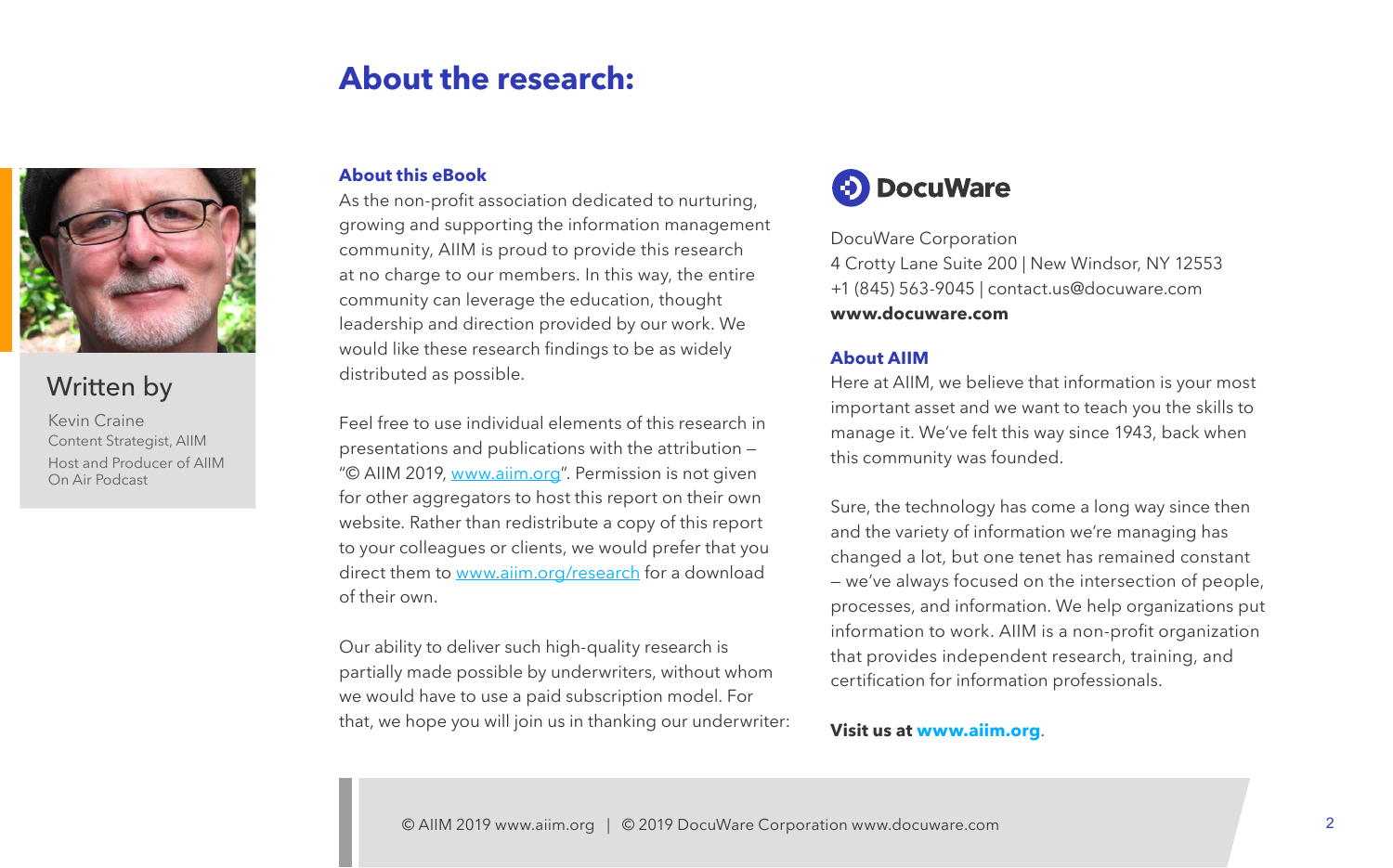# **About the research:**



# Written by

Kevin Craine Content Strategist, AIIM Host and Producer of AIIM On Air Podcast

### **About this eBook**

As the non-profit association dedicated to nurturing, growing and supporting the information management community, AIIM is proud to provide this research at no charge to our members. In this way, the entire community can leverage the education, thought leadership and direction provided by our work. We would like these research findings to be as widely distributed as possible.

Feel free to use individual elements of this research in presentations and publications with the attribution — "© AIIM 2019, www.aiim.org". Permission is not given for other aggregators to host this report on their own website. Rather than redistribute a copy of this report to your colleagues or clients, we would prefer that you direct them to www.aiim.org/research for a download of their own.

Our ability to deliver such high-quality research is partially made possible by underwriters, without whom we would have to use a paid subscription model. For that, we hope you will join us in thanking our underwriter:



DocuWare Corporation

4 Crotty Lane Suite 200 | New Windsor, NY 12553 +1 (845) 563-9045 | contact.us@docuware.com **www.docuware.com**

### **About AIIM**

Here at AIIM, we believe that information is your most important asset and we want to teach you the skills to manage it. We've felt this way since 1943, back when this community was founded.

Sure, the technology has come a long way since then and the variety of information we're managing has changed a lot, but one tenet has remained constant — we've always focused on the intersection of people, processes, and information. We help organizations put information to work. AIIM is a non-profit organization that provides independent research, training, and certification for information professionals.

### **Visit us at www.aiim.org**.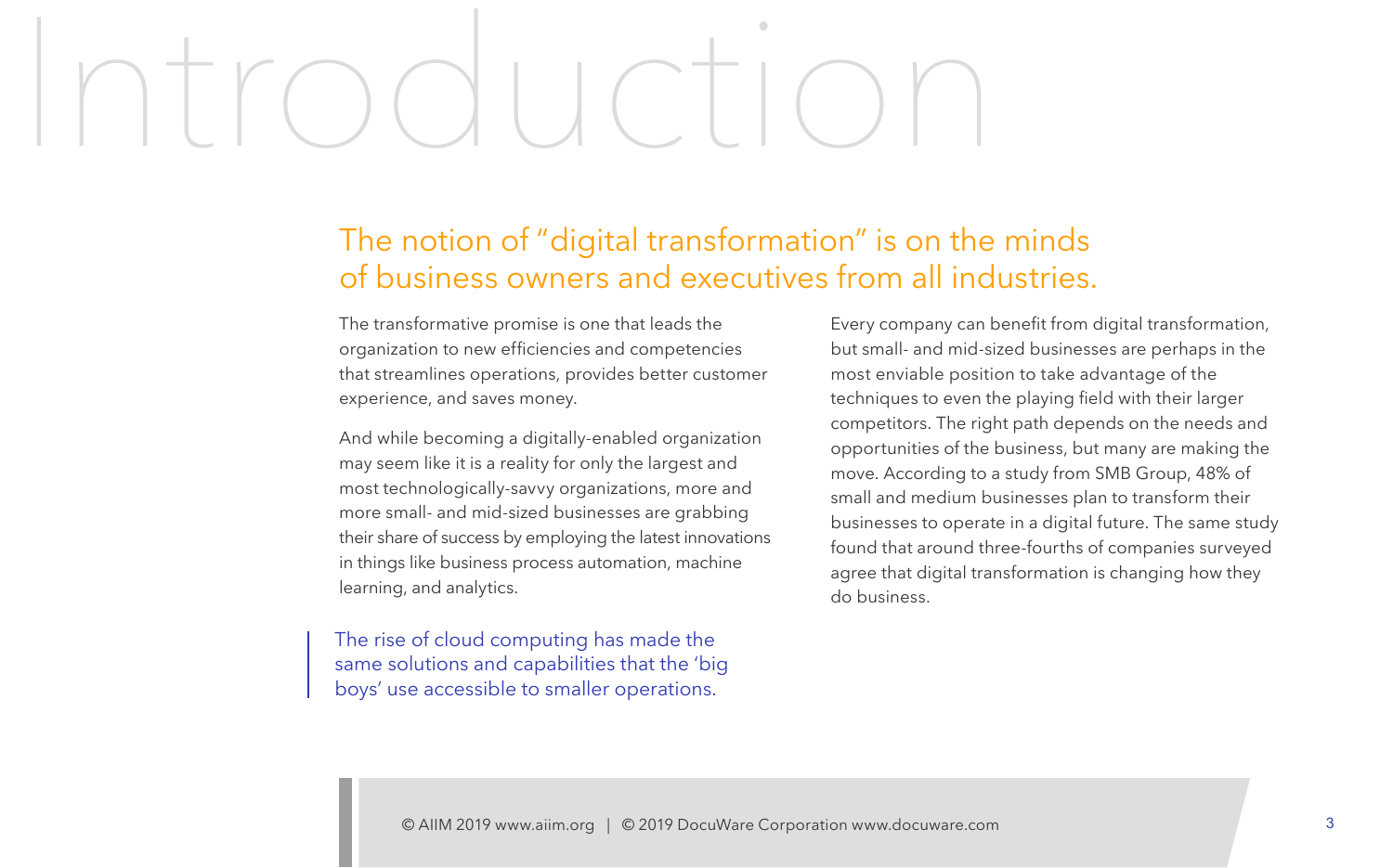# Introduction

# The notion of "digital transformation" is on the minds of business owners and executives from all industries.

The transformative promise is one that leads the organization to new efficiencies and competencies that streamlines operations, provides better customer experience, and saves money.

And while becoming a digitally-enabled organization may seem like it is a reality for only the largest and most technologically-savvy organizations, more and more small- and mid-sized businesses are grabbing their share of success by employing the latest innovations in things like business process automation, machine learning, and analytics.

The rise of cloud computing has made the same solutions and capabilities that the 'big boys' use accessible to smaller operations.

Every company can benefit from digital transformation, but small- and mid-sized businesses are perhaps in the most enviable position to take advantage of the techniques to even the playing field with their larger competitors. The right path depends on the needs and opportunities of the business, but many are making the move. According to a study from [SMB Group](https://www.smb-gr.com/wp-content/uploads/2017/07/7-21-17-DIgital-Transformation-Survey-Final-Brochure.pdf), 48% of small and medium businesses plan to transform their businesses to operate in a digital future. The same study found that around three-fourths of companies surveyed agree that digital transformation is changing how they do business.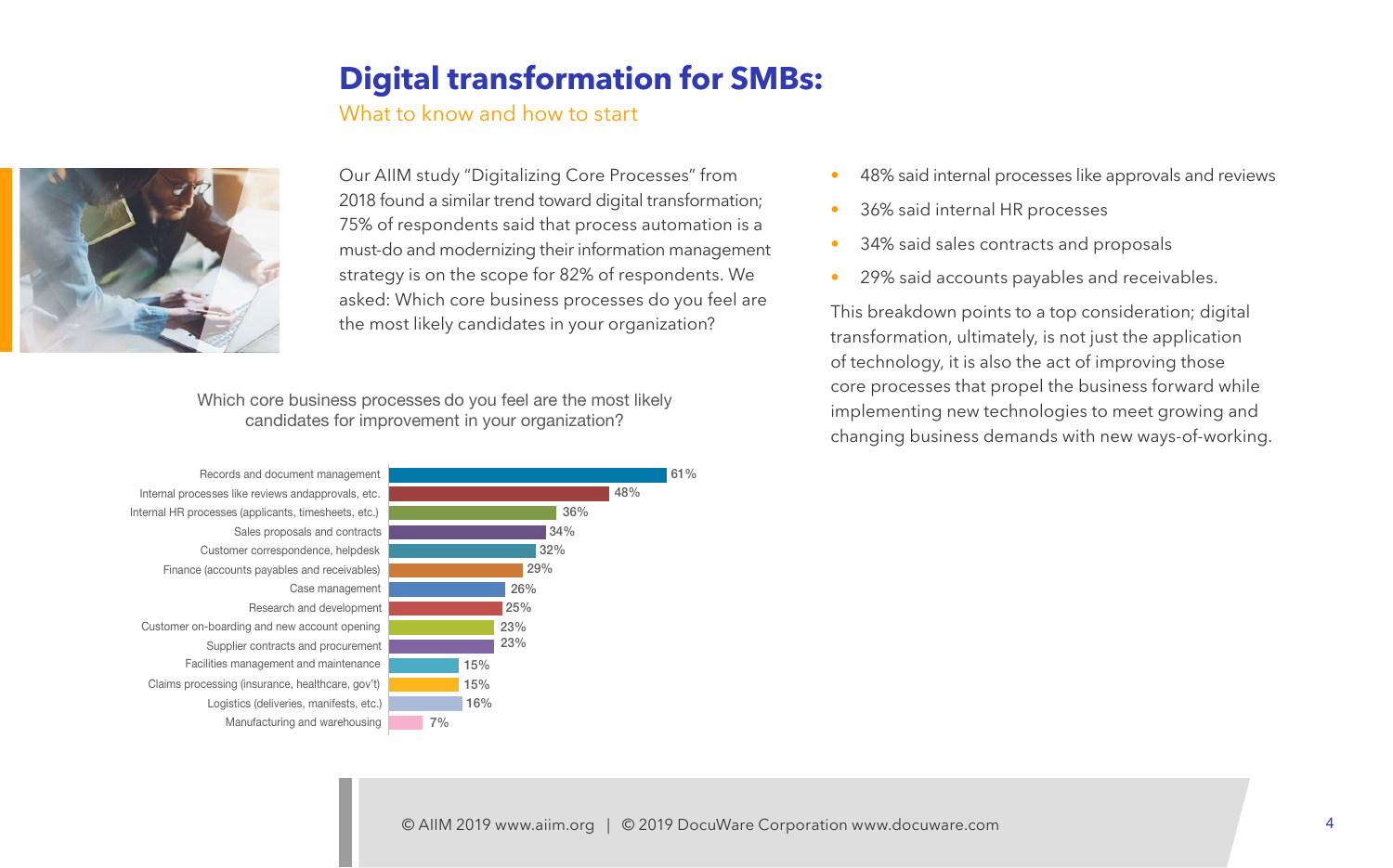What to know and how to start



Our AIIM study "[Digitalizing Core Processes](https://info.aiim.org/digitalizing-core-business-processes-in-2018)" from 2018 found a similar trend toward digital transformation: 75% of respondents said that process automation is a must-do and modernizing their information management strategy is on the scope for 82% of respondents. We asked: Which core business processes do you feel are the most likely candidates in your organization?

Which core business processes do you feel are the most likely candidates for improvement in your organization?

| Records and document management                      |       |     |     |     |     |     |
|------------------------------------------------------|-------|-----|-----|-----|-----|-----|
| Internal processes like reviews andapprovals, etc.   |       |     |     |     |     | 48% |
| Internal HR processes (applicants, timesheets, etc.) |       |     |     |     | 36% |     |
| Sales proposals and contracts                        |       |     |     | 34% |     |     |
| Customer correspondence, helpdesk                    |       |     |     | 32% |     |     |
| Finance (accounts payables and receivables)          |       |     |     | 29% |     |     |
| Case management                                      |       |     | 26% |     |     |     |
| Research and development                             |       |     | 25% |     |     |     |
| Customer on-boarding and new account opening         |       |     | 23% |     |     |     |
| Supplier contracts and procurement                   |       |     | 23% |     |     |     |
| Facilities management and maintenance                |       | 15% |     |     |     |     |
| Claims processing (insurance, healthcare, gov't)     |       | 15% |     |     |     |     |
| Logistics (deliveries, manifests, etc.)              |       | 16% |     |     |     |     |
| Manufacturing and warehousing                        | $7\%$ |     |     |     |     |     |
|                                                      |       |     |     |     |     |     |

- 48% said internal processes like approvals and reviews
- 36% said internal HR processes
- 34% said sales contracts and proposals
- 29% said accounts payables and receivables.

This breakdown points to a top consideration; digital transformation, ultimately, is not just the application of technology, it is also the act of improving those core processes that propel the business forward while implementing new technologies to meet growing and changing business demands with new ways-of-working.

61%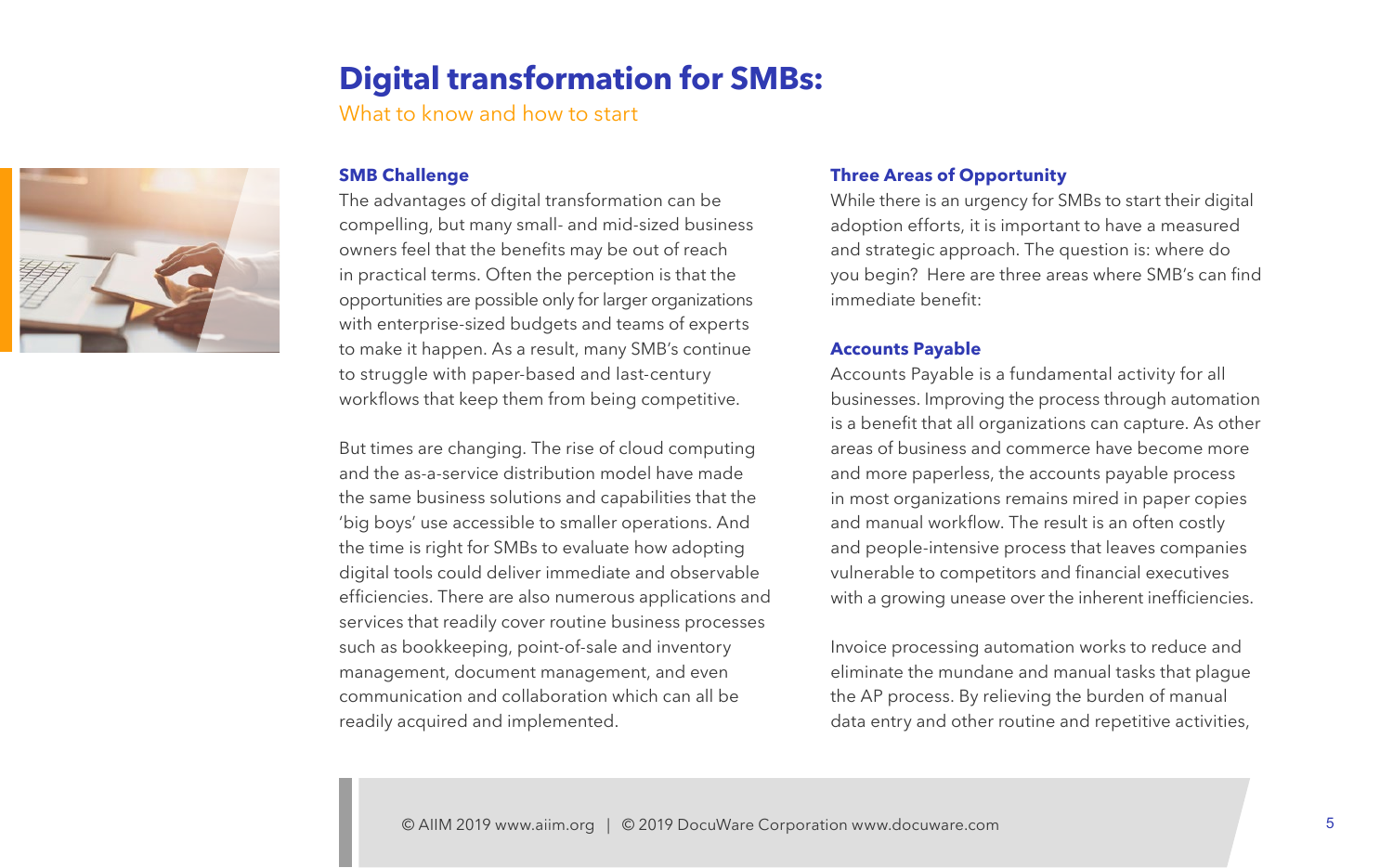What to know and how to start

## **SMB Challenge**

The advantages of digital transformation can be compelling, but many small- and mid-sized business owners feel that the benefits may be out of reach in practical terms. Often the perception is that the opportunities are possible only for larger organizations with enterprise-sized budgets and teams of experts to make it happen. As a result, many SMB's continue to struggle with paper-based and last-century workflows that keep them from being competitive.

But times are changing. The rise of cloud computing and the as-a-service distribution model have made the same business solutions and capabilities that the 'big boys' use accessible to smaller operations. And the time is right for SMBs to evaluate how adopting digital tools could deliver immediate and observable efficiencies. There are also numerous applications and services that readily cover routine business processes such as bookkeeping, point-of-sale and inventory management, document management, and even communication and collaboration which can all be readily acquired and implemented.

## **Three Areas of Opportunity**

While there is an urgency for SMBs to start their digital adoption efforts, it is important to have a measured and strategic approach. The question is: where do you begin? Here are three areas where SMB's can find immediate benefit:

### **Accounts Payable**

Accounts Payable is a fundamental activity for all businesses. Improving the process through automation is a benefit that all organizations can capture. As other areas of business and commerce have become more and more paperless, the accounts payable process in most organizations remains mired in paper copies and manual workflow. The result is an often costly and people-intensive process that leaves companies vulnerable to competitors and financial executives with a growing unease over the inherent inefficiencies.

Invoice processing automation works to reduce and eliminate the mundane and manual tasks that plague the AP process. By relieving the burden of manual data entry and other routine and repetitive activities,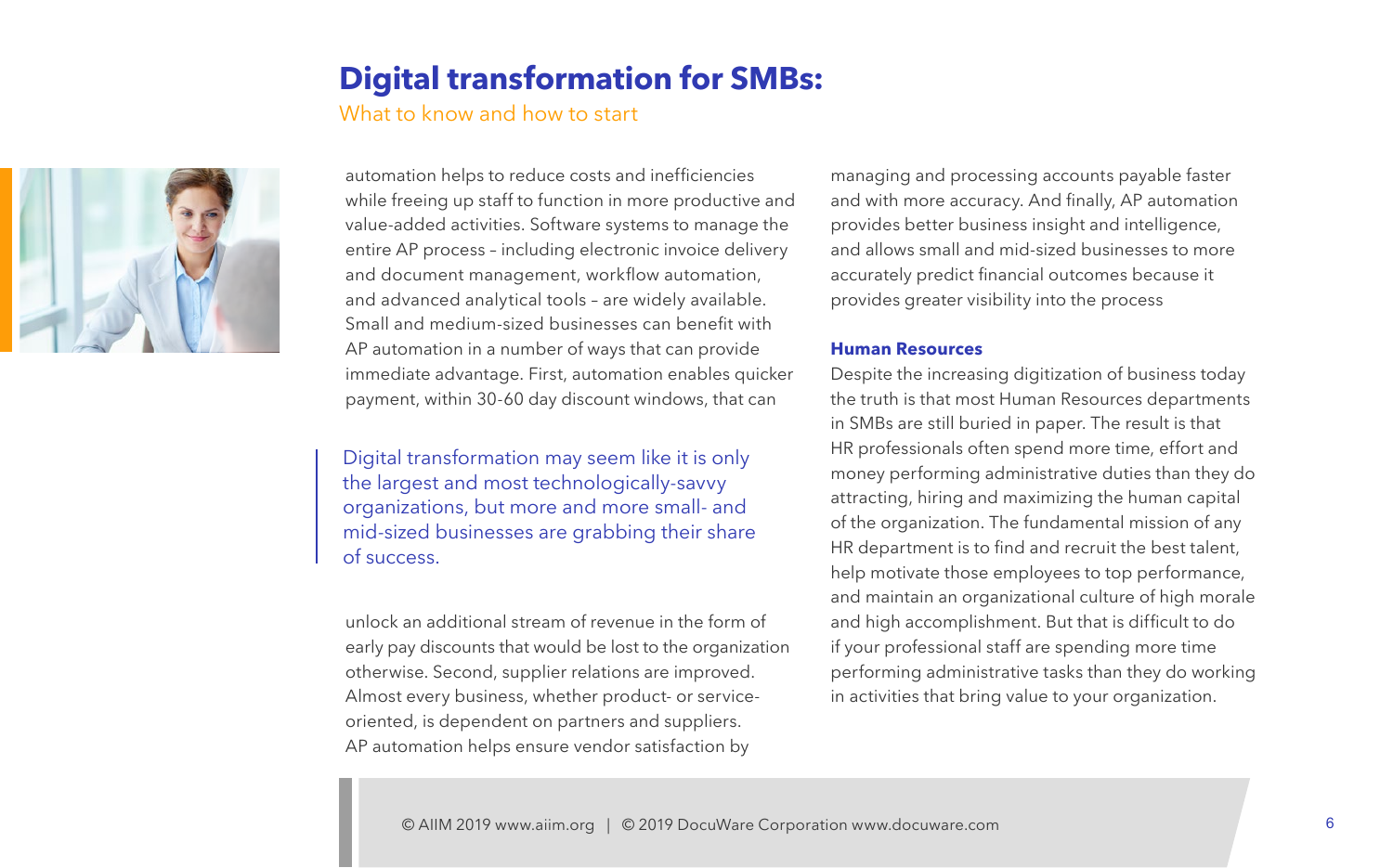What to know and how to start



automation helps to reduce costs and inefficiencies while freeing up staff to function in more productive and value-added activities. Software systems to manage the entire AP process – including electronic invoice delivery and document management, workflow automation, and advanced analytical tools – are widely available. Small and medium-sized businesses can benefit with AP automation in a number of ways that can provide immediate advantage. First, automation enables quicker payment, within 30-60 day discount windows, that can

Digital transformation may seem like it is only the largest and most technologically-savvy organizations, but more and more small- and mid-sized businesses are grabbing their share of success.

unlock an additional stream of revenue in the form of early pay discounts that would be lost to the organization otherwise. Second, supplier relations are improved. Almost every business, whether product- or serviceoriented, is dependent on partners and suppliers. AP automation helps ensure vendor satisfaction by

managing and processing accounts payable faster and with more accuracy. And finally, AP automation provides better business insight and intelligence, and allows small and mid-sized businesses to more accurately predict financial outcomes because it provides greater visibility into the process

### **Human Resources**

Despite the increasing digitization of business today the truth is that most Human Resources departments in SMBs are still buried in paper. The result is that HR professionals often spend more time, effort and money performing administrative duties than they do attracting, hiring and maximizing the human capital of the organization. The fundamental mission of any HR department is to find and recruit the best talent, help motivate those employees to top performance, and maintain an organizational culture of high morale and high accomplishment. But that is difficult to do if your professional staff are spending more time performing administrative tasks than they do working in activities that bring value to your organization.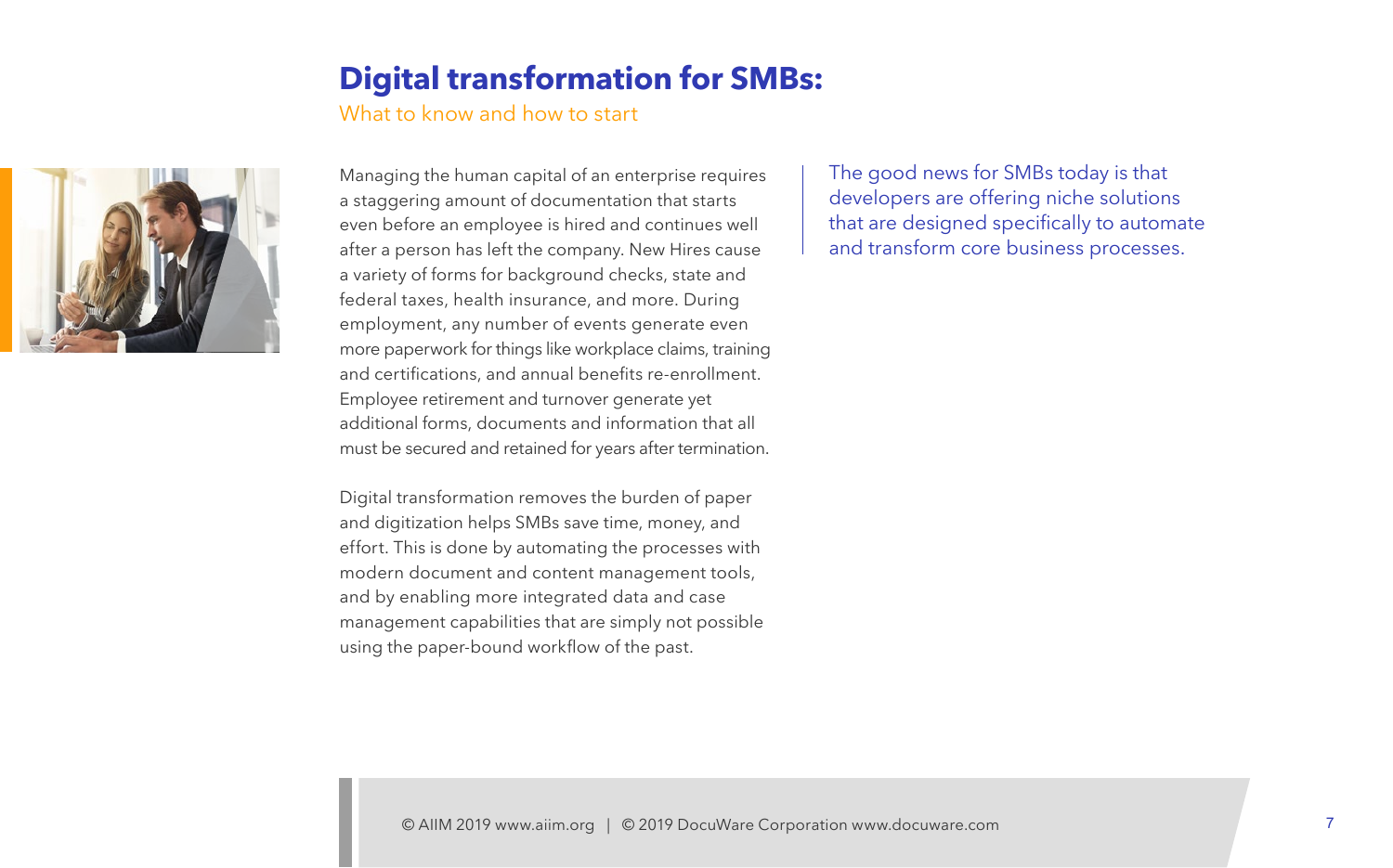What to know and how to start



Managing the human capital of an enterprise requires a staggering amount of documentation that starts even before an employee is hired and continues well after a person has left the company. New Hires cause a variety of forms for background checks, state and federal taxes, health insurance, and more. During employment, any number of events generate even more paperwork for things like workplace claims, training and certifications, and annual benefits re-enrollment. Employee retirement and turnover generate yet additional forms, documents and information that all must be secured and retained for years after termination.

Digital transformation removes the burden of paper and digitization helps SMBs save time, money, and effort. This is done by automating the processes with modern document and content management tools, and by enabling more integrated data and case management capabilities that are simply not possible using the paper-bound workflow of the past.

The good news for SMBs today is that developers are offering niche solutions that are designed specifically to automate and transform core business processes.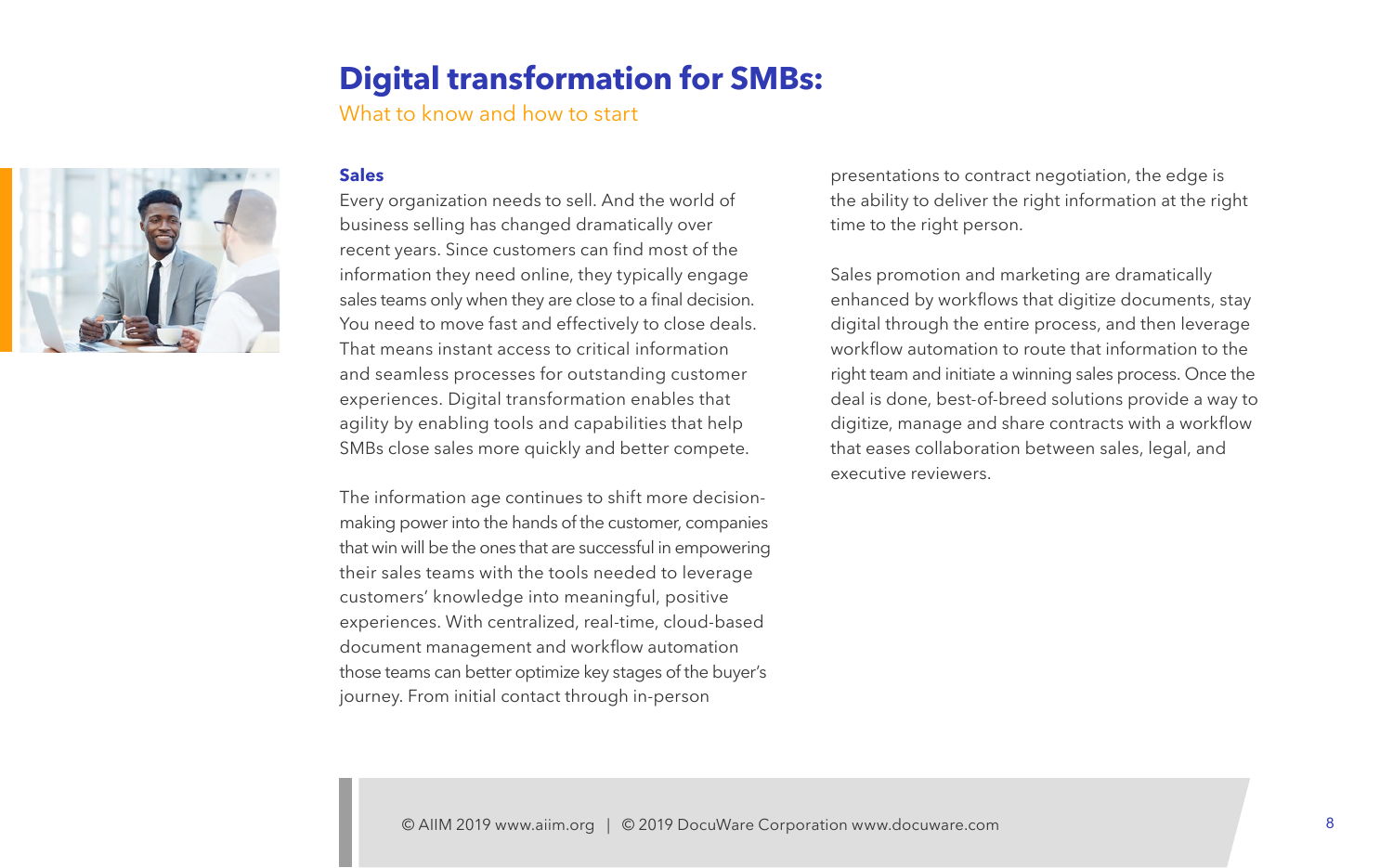What to know and how to start



# **Sales**

Every organization needs to sell. And the world of business selling has changed dramatically over recent years. Since customers can find most of the information they need online, they typically engage sales teams only when they are close to a final decision. You need to move fast and effectively to close deals. That means instant access to critical information and seamless processes for outstanding customer experiences. Digital transformation enables that agility by enabling tools and capabilities that help SMBs close sales more quickly and better compete.

The information age continues to shift more decisionmaking power into the hands of the customer, companies that win will be the ones that are successful in empowering their sales teams with the tools needed to leverage customers' knowledge into meaningful, positive experiences. With centralized, real-time, cloud-based document management and workflow automation those teams can better optimize key stages of the buyer's journey. From initial contact through in-person

presentations to contract negotiation, the edge is the ability to deliver the right information at the right time to the right person.

Sales promotion and marketing are dramatically enhanced by workflows that digitize documents, stay digital through the entire process, and then leverage workflow automation to route that information to the right team and initiate a winning sales process. Once the deal is done, best-of-breed solutions provide a way to digitize, manage and share contracts with a workflow that eases collaboration between sales, legal, and executive reviewers.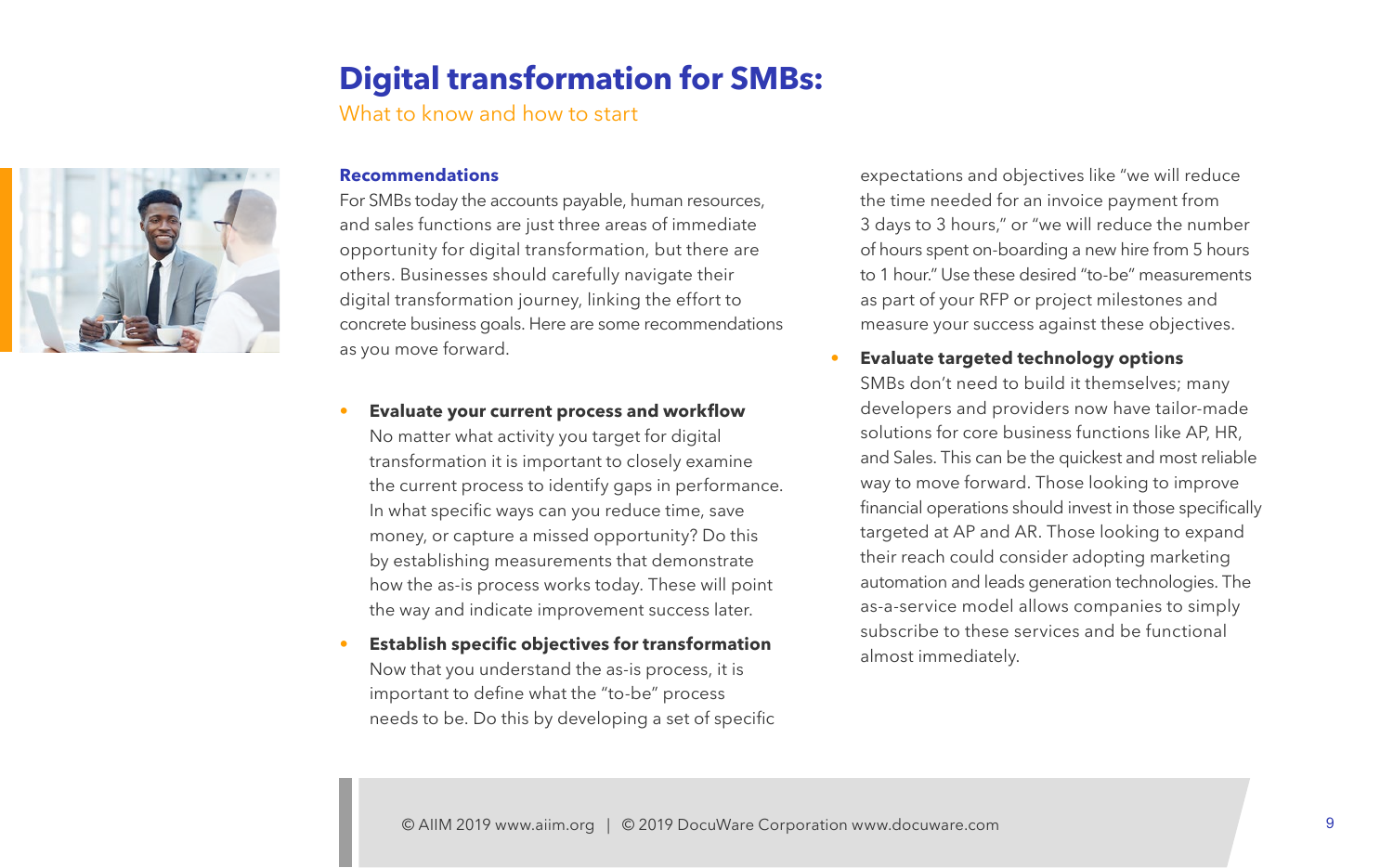What to know and how to start



# **Recommendations**

For SMBs today the accounts payable, human resources, and sales functions are just three areas of immediate opportunity for digital transformation, but there are others. Businesses should carefully navigate their digital transformation journey, linking the effort to concrete business goals. Here are some recommendations as you move forward.

- **• Evaluate your current process and workflow**
	- No matter what activity you target for digital transformation it is important to closely examine the current process to identify gaps in performance. In what specific ways can you reduce time, save money, or capture a missed opportunity? Do this by establishing measurements that demonstrate how the as-is process works today. These will point the way and indicate improvement success later.
- **• Establish specific objectives for transformation** Now that you understand the as-is process, it is important to define what the "to-be" process needs to be. Do this by developing a set of specific

expectations and objectives like "we will reduce the time needed for an invoice payment from 3 days to 3 hours," or "we will reduce the number of hours spent on-boarding a new hire from 5 hours to 1 hour." Use these desired "to-be" measurements as part of your RFP or project milestones and measure your success against these objectives.

**• Evaluate targeted technology options** SMBs don't need to build it themselves; many developers and providers now have tailor-made solutions for core business functions like AP, HR, and Sales. This can be the quickest and most reliable way to move forward. Those looking to improve financial operations should invest in those specifically targeted at AP and AR. Those looking to expand their reach could consider adopting marketing automation and leads generation technologies. The as-a-service model allows companies to simply subscribe to these services and be functional almost immediately.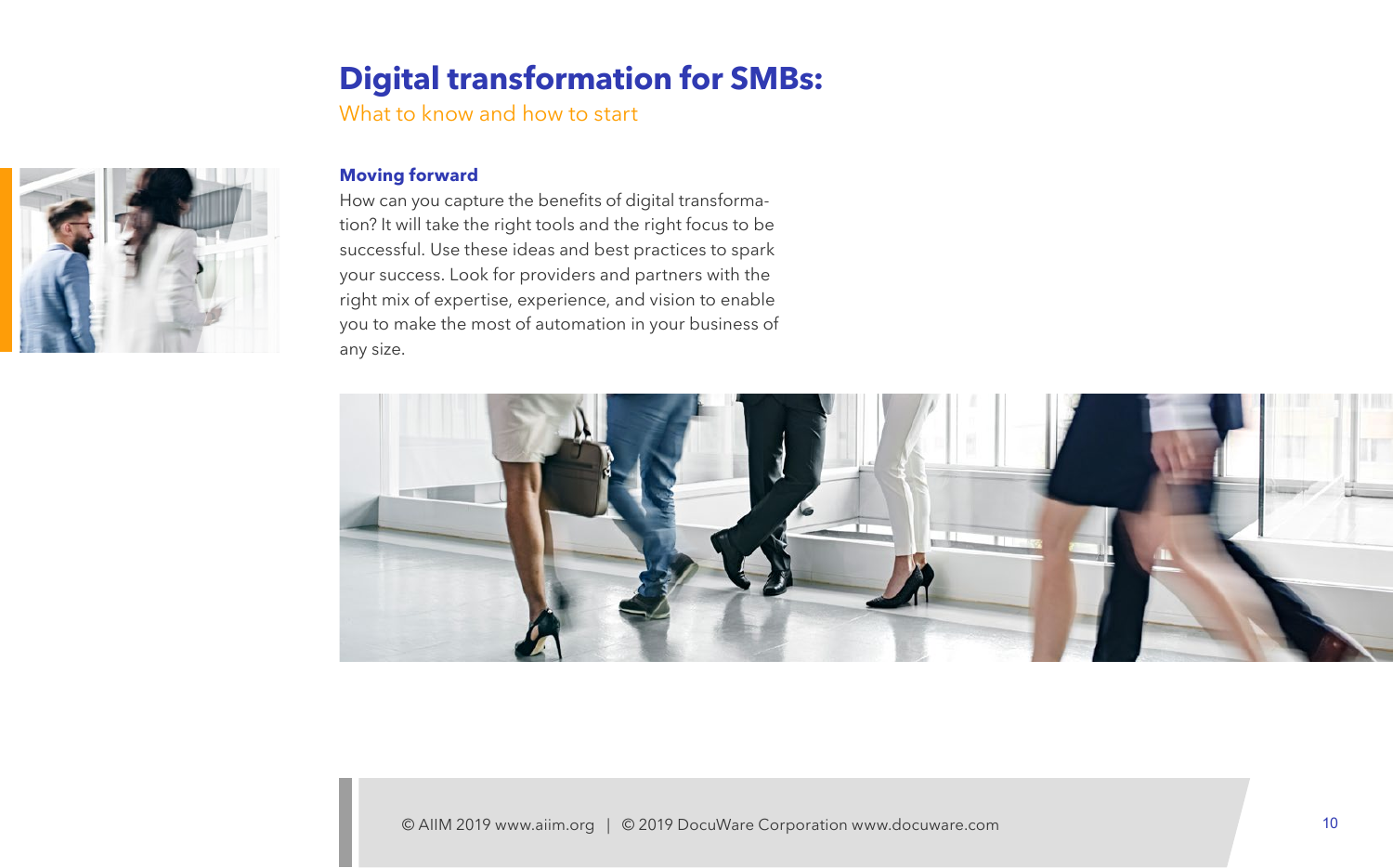What to know and how to start



## **Moving forward**

How can you capture the benefits of digital transformation? It will take the right tools and the right focus to be successful. Use these ideas and best practices to spark your success. Look for providers and partners with the right mix of expertise, experience, and vision to enable you to make the most of automation in your business of any size.

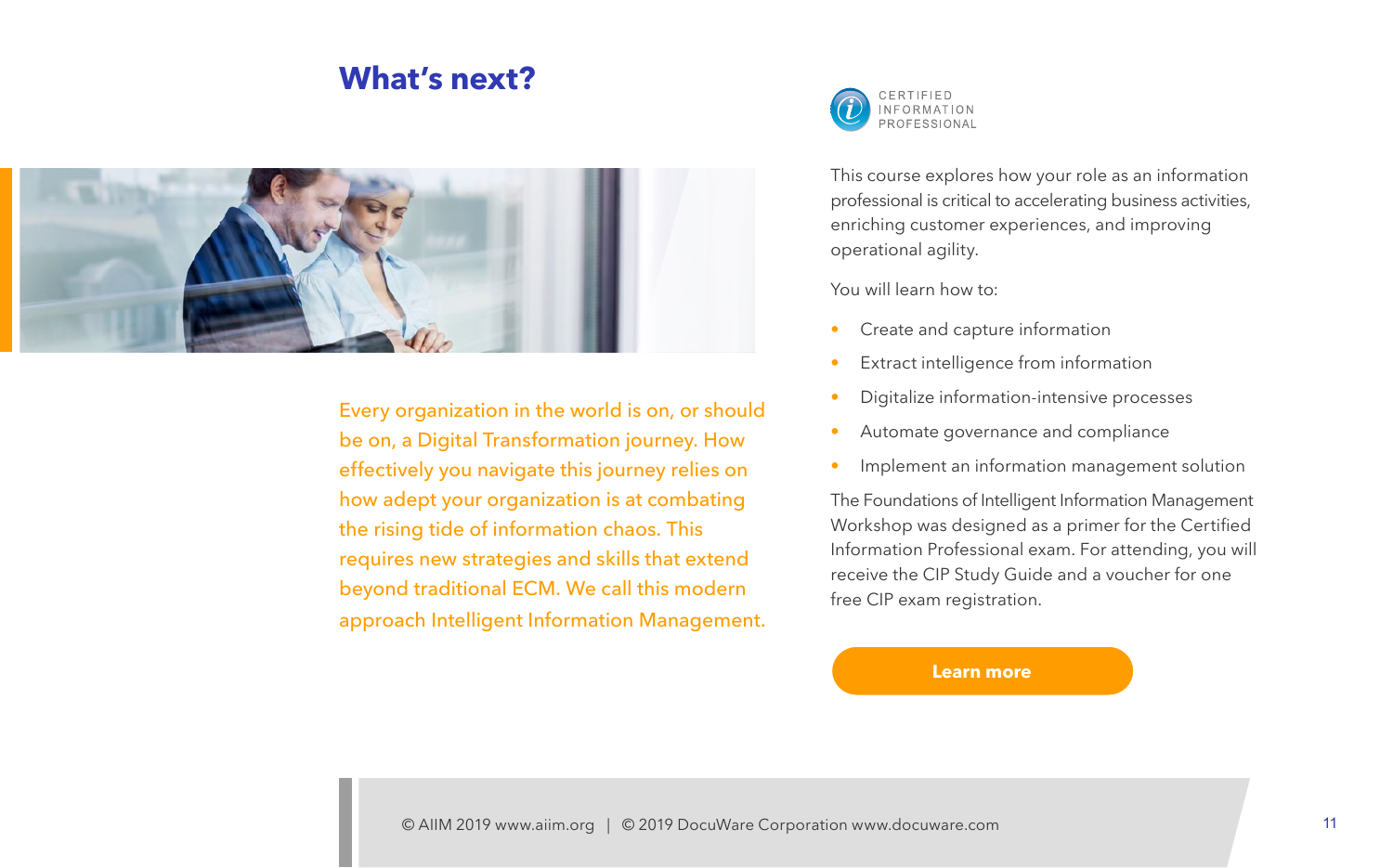# **What's next?**



Every organization in the world is on, or should be on, a Digital Transformation journey. How effectively you navigate this journey relies on how adept your organization is at combating the rising tide of information chaos. This requires new strategies and skills that extend beyond traditional ECM. We call this modern approach Intelligent Information Management.



This course explores how your role as an information professional is critical to accelerating business activities, enriching customer experiences, and improving operational agility.

You will learn how to:

- Create and capture information
- Extract intelligence from information
- Digitalize information-intensive processes
- Automate governance and compliance
- Implement an information management solution

The Foundations of Intelligent Information Management Workshop was designed as a primer for the Certified Information Professional exam. For attending, you will receive the CIP Study Guide and a voucher for one free CIP exam registration.

### **[Learn more](https://www.aiim.org/Education-Section/Deep-Dives/Foundations-of-IIM)**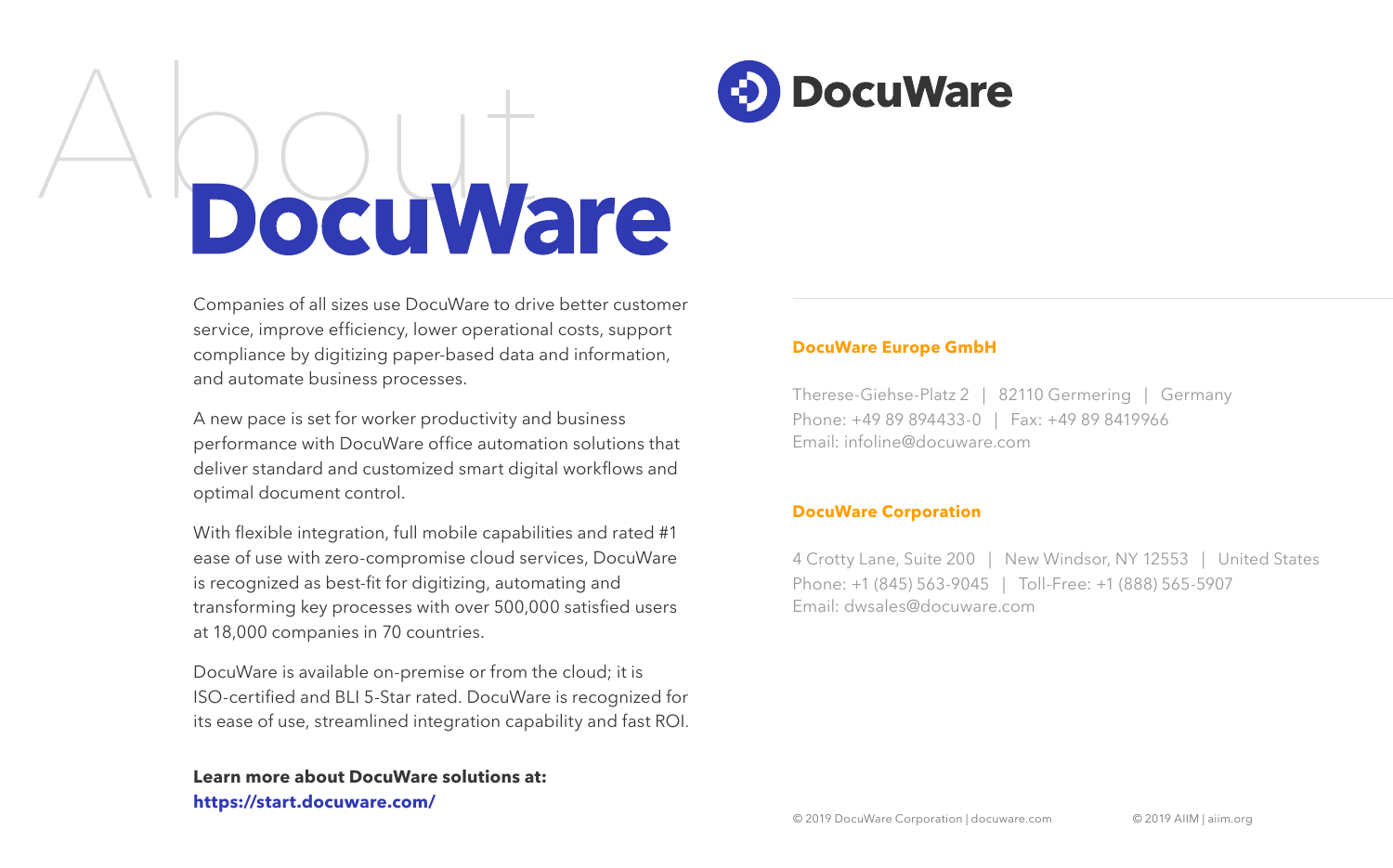# **Docu Ware**

Companies of all sizes use DocuWare to drive better customer service, improve efficiency, lower operational costs, support compliance by digitizing paper-based data and information, and automate business processes.

A new pace is set for worker productivity and business performance with DocuWare office automation solutions that deliver standard and customized smart digital workflows and optimal document control.

With flexible integration, full mobile capabilities and rated #1 ease of use with zero-compromise cloud services, DocuWare is recognized as best-fit for digitizing, automating and transforming key processes with over 500,000 satisfied users at 18,000 companies in 70 countries.

DocuWare is available on-premise or from the cloud; it is ISO-certified and BLI 5-Star rated. DocuWare is recognized for its ease of use, streamlined integration capability and fast ROI.

# **Learn more about DocuWare solutions at: https://start.docuware.com/**



### **DocuWare Europe GmbH**

Therese-Giehse-Platz 2 | 82110 Germering | Germany Phone: +49 89 894433-0 | Fax: +49 89 8419966 Email: infoline@docuware.com

# **DocuWare Corporation**

4 Crotty Lane, Suite 200 | New Windsor, NY 12553 | United States Phone: +1 (845) 563-9045 | Toll-Free: +1 (888) 565-5907 Email: dwsales@docuware.com